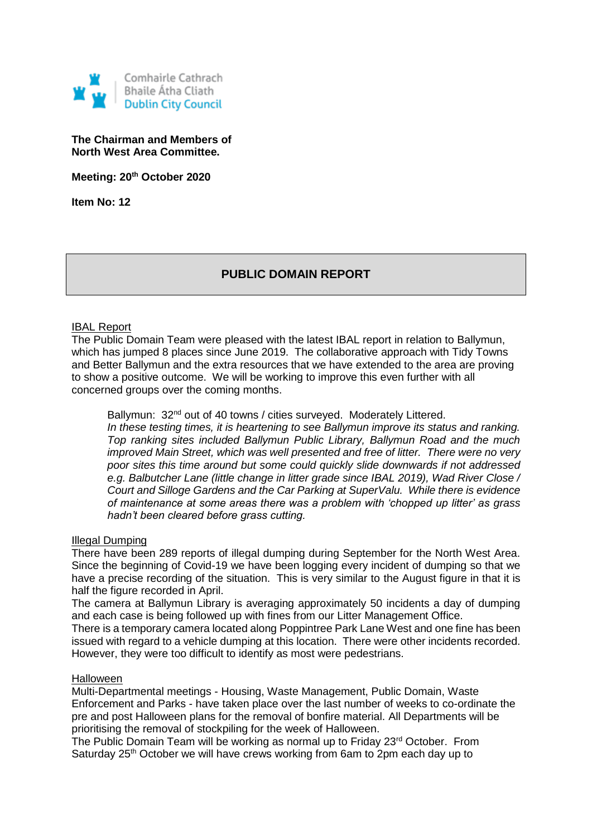

# **The Chairman and Members of North West Area Committee.**

**Meeting: 20th October 2020**

**Item No: 12**

# **PUBLIC DOMAIN REPORT**

## IBAL Report

The Public Domain Team were pleased with the latest IBAL report in relation to Ballymun, which has jumped 8 places since June 2019. The collaborative approach with Tidy Towns and Better Ballymun and the extra resources that we have extended to the area are proving to show a positive outcome. We will be working to improve this even further with all concerned groups over the coming months.

Ballymun: 32<sup>nd</sup> out of 40 towns / cities surveyed. Moderately Littered. *In these testing times, it is heartening to see Ballymun improve its status and ranking. Top ranking sites included Ballymun Public Library, Ballymun Road and the much improved Main Street, which was well presented and free of litter. There were no very poor sites this time around but some could quickly slide downwards if not addressed e.g. Balbutcher Lane (little change in litter grade since IBAL 2019), Wad River Close / Court and Silloge Gardens and the Car Parking at SuperValu. While there is evidence of maintenance at some areas there was a problem with 'chopped up litter' as grass hadn't been cleared before grass cutting.* 

#### Illegal Dumping

There have been 289 reports of illegal dumping during September for the North West Area. Since the beginning of Covid-19 we have been logging every incident of dumping so that we have a precise recording of the situation. This is very similar to the August figure in that it is half the figure recorded in April.

The camera at Ballymun Library is averaging approximately 50 incidents a day of dumping and each case is being followed up with fines from our Litter Management Office.

There is a temporary camera located along Poppintree Park Lane West and one fine has been issued with regard to a vehicle dumping at this location. There were other incidents recorded. However, they were too difficult to identify as most were pedestrians.

# Halloween

Multi-Departmental meetings - Housing, Waste Management, Public Domain, Waste Enforcement and Parks - have taken place over the last number of weeks to co-ordinate the pre and post Halloween plans for the removal of bonfire material. All Departments will be prioritising the removal of stockpiling for the week of Halloween.

The Public Domain Team will be working as normal up to Friday 23<sup>rd</sup> October. From Saturday 25<sup>th</sup> October we will have crews working from 6am to 2pm each day up to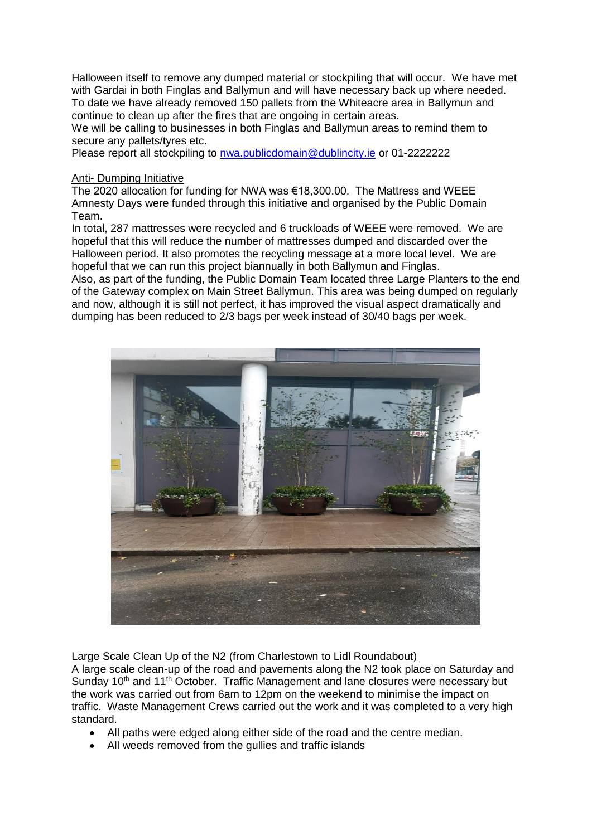Halloween itself to remove any dumped material or stockpiling that will occur. We have met with Gardai in both Finglas and Ballymun and will have necessary back up where needed. To date we have already removed 150 pallets from the Whiteacre area in Ballymun and continue to clean up after the fires that are ongoing in certain areas.

We will be calling to businesses in both Finglas and Ballymun areas to remind them to secure any pallets/tyres etc.

Please report all stockpiling to [nwa.publicdomain@dublincity.ie](mailto:nwa.publicdomain@dublincity.ie) or 01-2222222

## Anti- Dumping Initiative

The 2020 allocation for funding for NWA was €18,300.00. The Mattress and WEEE Amnesty Days were funded through this initiative and organised by the Public Domain Team.

In total, 287 mattresses were recycled and 6 truckloads of WEEE were removed. We are hopeful that this will reduce the number of mattresses dumped and discarded over the Halloween period. It also promotes the recycling message at a more local level. We are hopeful that we can run this project biannually in both Ballymun and Finglas.

Also, as part of the funding, the Public Domain Team located three Large Planters to the end of the Gateway complex on Main Street Ballymun. This area was being dumped on regularly and now, although it is still not perfect, it has improved the visual aspect dramatically and dumping has been reduced to 2/3 bags per week instead of 30/40 bags per week.



Large Scale Clean Up of the N2 (from Charlestown to Lidl Roundabout)

A large scale clean-up of the road and pavements along the N2 took place on Saturday and Sunday 10<sup>th</sup> and 11<sup>th</sup> October. Traffic Management and lane closures were necessary but the work was carried out from 6am to 12pm on the weekend to minimise the impact on traffic. Waste Management Crews carried out the work and it was completed to a very high standard.

- All paths were edged along either side of the road and the centre median.
- All weeds removed from the gullies and traffic islands